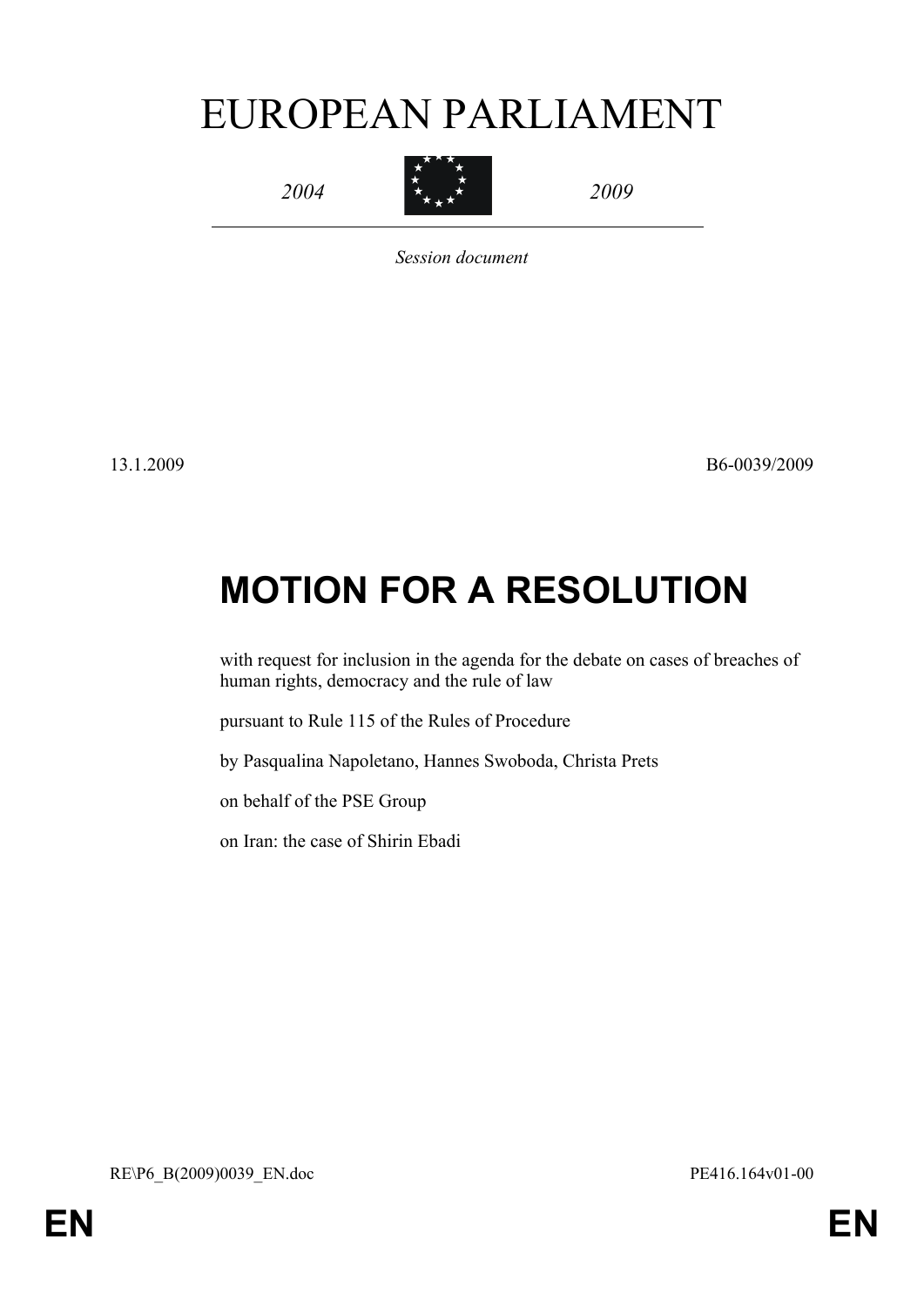# EUROPEAN PARLIAMENT

*2004*



*2009*

*Session document*

13.1.2009 B6-0039/2009

# **MOTION FOR A RESOLUTION**

with request for inclusion in the agenda for the debate on cases of breaches of human rights, democracy and the rule of law

pursuant to Rule 115 of the Rules of Procedure

by Pasqualina Napoletano, Hannes Swoboda, Christa Prets

on behalf of the PSE Group

<span id="page-0-0"></span>on Iran: the case of Shirin Ebadi

<span id="page-0-1"></span>RE\P6\_B(2009)0039\_EN.doc PE416.164v01-00

**EN EN**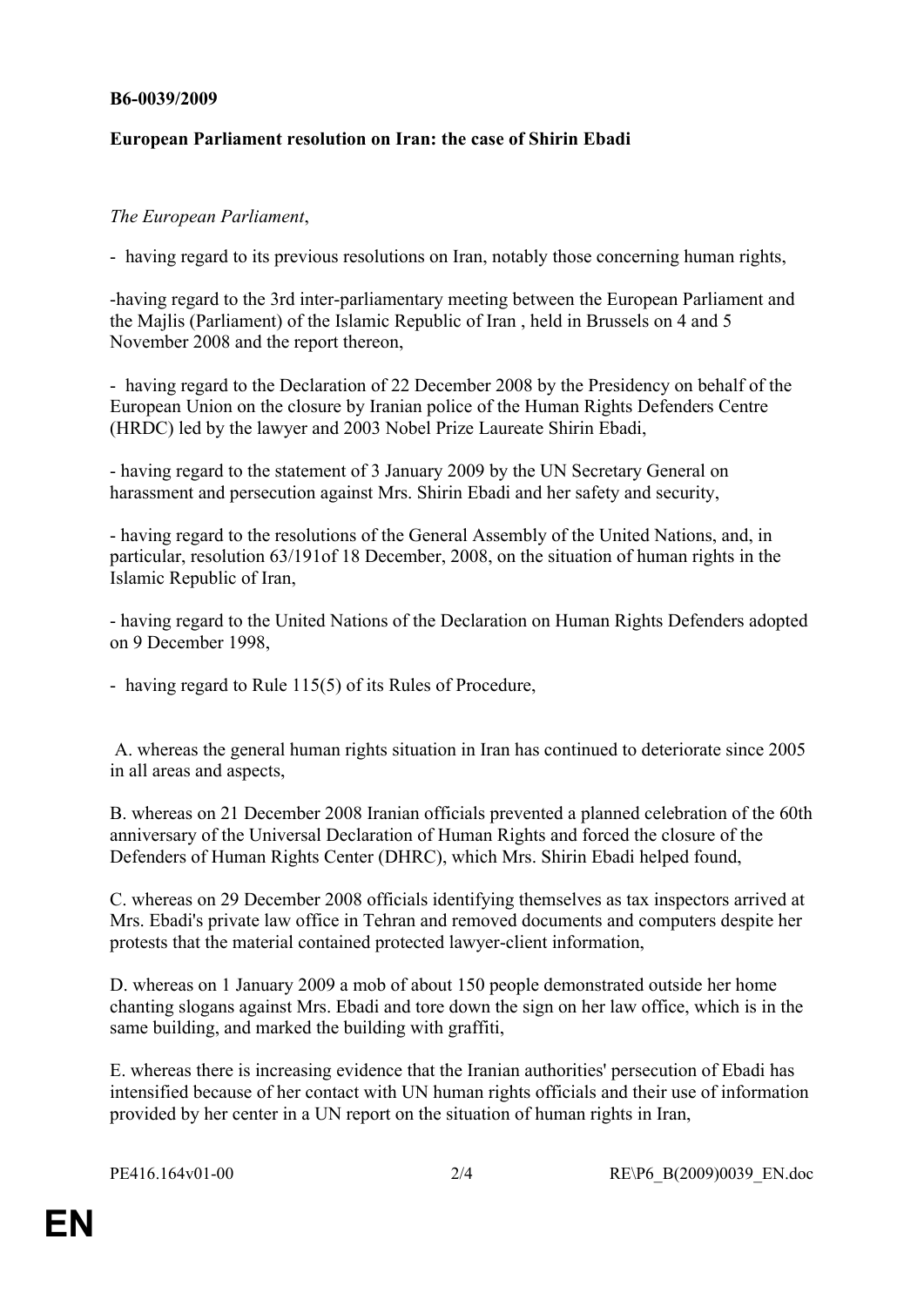#### **B6-0039/2009**

## **European Parliament resolution on Iran: the case of Shirin Ebadi**

## *The European Parliament*,

- having regard to its previous resolutions on Iran, notably those concerning human rights,

-having regard to the 3rd inter-parliamentary meeting between the European Parliament and the Majlis (Parliament) of the Islamic Republic of Iran , held in Brussels on 4 and 5 November 2008 and the report thereon,

- having regard to the Declaration of 22 December 2008 by the Presidency on behalf of the European Union on the closure by Iranian police of the Human Rights Defenders Centre (HRDC) led by the lawyer and 2003 Nobel Prize Laureate Shirin Ebadi,

- having regard to the statement of 3 January 2009 by the UN Secretary General on harassment and persecution against Mrs. Shirin Ebadi and her safety and security,

- having regard to the resolutions of the General Assembly of the United Nations, and, in particular, resolution 63/191of 18 December, 2008, on the situation of human rights in the Islamic Republic of Iran,

- having regard to the United Nations of the Declaration on Human Rights Defenders adopted on 9 December 1998,

- having regard to Rule 115(5) of its Rules of Procedure,

 A. whereas the general human rights situation in Iran has continued to deteriorate since 2005 in all areas and aspects,

B. whereas on 21 December 2008 Iranian officials prevented a planned celebration of the 60th anniversary of the Universal Declaration of Human Rights and forced the closure of the Defenders of Human Rights Center (DHRC), which Mrs. Shirin Ebadi helped found,

C. whereas on 29 December 2008 officials identifying themselves as tax inspectors arrived at Mrs. Ebadi's private law office in Tehran and removed documents and computers despite her protests that the material contained protected lawyer-client information,

D. whereas on 1 January 2009 a mob of about 150 people demonstrated outside her home chanting slogans against Mrs. Ebadi and tore down the sign on her law office, which is in the same building, and marked the building with graffiti,

E. whereas there is increasing evidence that the Iranian authorities' persecution of Ebadi has intensified because of her contact with UN human rights officials and their use of information provided by her center in a UN report on the situation of human rights in Iran,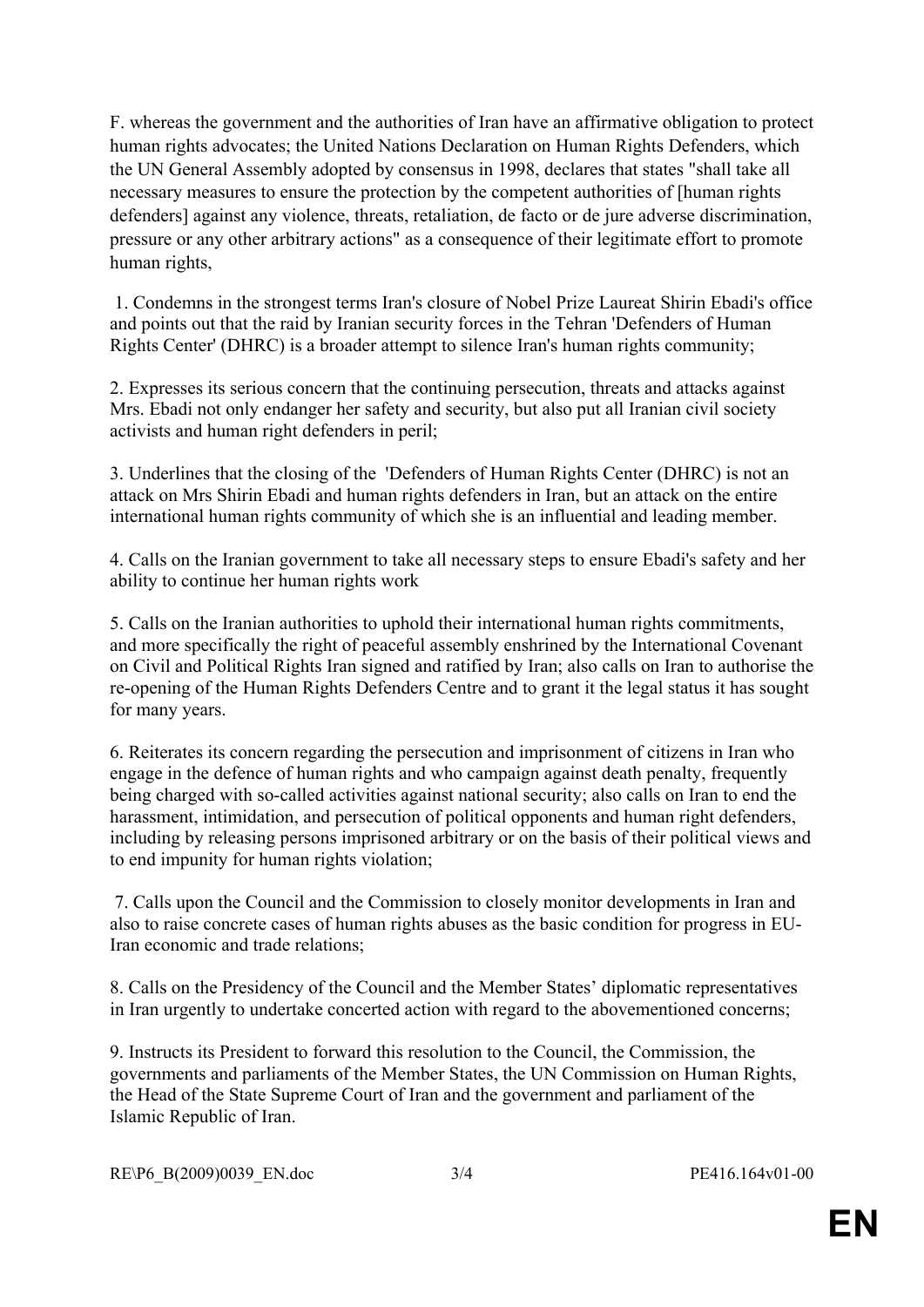F. whereas the government and the authorities of Iran have an affirmative obligation to protect human rights advocates; the United Nations Declaration on Human Rights Defenders, which the UN General Assembly adopted by consensus in 1998, declares that states "shall take all necessary measures to ensure the protection by the competent authorities of [human rights defenders] against any violence, threats, retaliation, de facto or de jure adverse discrimination, pressure or any other arbitrary actions" as a consequence of their legitimate effort to promote human rights,

 1. Condemns in the strongest terms Iran's closure of Nobel Prize Laureat Shirin Ebadi's office and points out that the raid by Iranian security forces in the Tehran 'Defenders of Human Rights Center' (DHRC) is a broader attempt to silence Iran's human rights community;

2. Expresses its serious concern that the continuing persecution, threats and attacks against Mrs. Ebadi not only endanger her safety and security, but also put all Iranian civil society activists and human right defenders in peril;

3. Underlines that the closing of the 'Defenders of Human Rights Center (DHRC) is not an attack on Mrs Shirin Ebadi and human rights defenders in Iran, but an attack on the entire international human rights community of which she is an influential and leading member.

4. Calls on the Iranian government to take all necessary steps to ensure Ebadi's safety and her ability to continue her human rights work

5. Calls on the Iranian authorities to uphold their international human rights commitments, and more specifically the right of peaceful assembly enshrined by the International Covenant on Civil and Political Rights Iran signed and ratified by Iran; also calls on Iran to authorise the re-opening of the Human Rights Defenders Centre and to grant it the legal status it has sought for many years.

6. Reiterates its concern regarding the persecution and imprisonment of citizens in Iran who engage in the defence of human rights and who campaign against death penalty, frequently being charged with so-called activities against national security; also calls on Iran to end the harassment, intimidation, and persecution of political opponents and human right defenders, including by releasing persons imprisoned arbitrary or on the basis of their political views and to end impunity for human rights violation;

 7. Calls upon the Council and the Commission to closely monitor developments in Iran and also to raise concrete cases of human rights abuses as the basic condition for progress in EU-Iran economic and trade relations;

8. Calls on the Presidency of the Council and the Member States' diplomatic representatives in Iran urgently to undertake concerted action with regard to the abovementioned concerns;

9. Instructs its President to forward this resolution to the Council, the Commission, the governments and parliaments of the Member States, the UN Commission on Human Rights, the Head of the State Supreme Court of Iran and the government and parliament of the Islamic Republic of Iran.